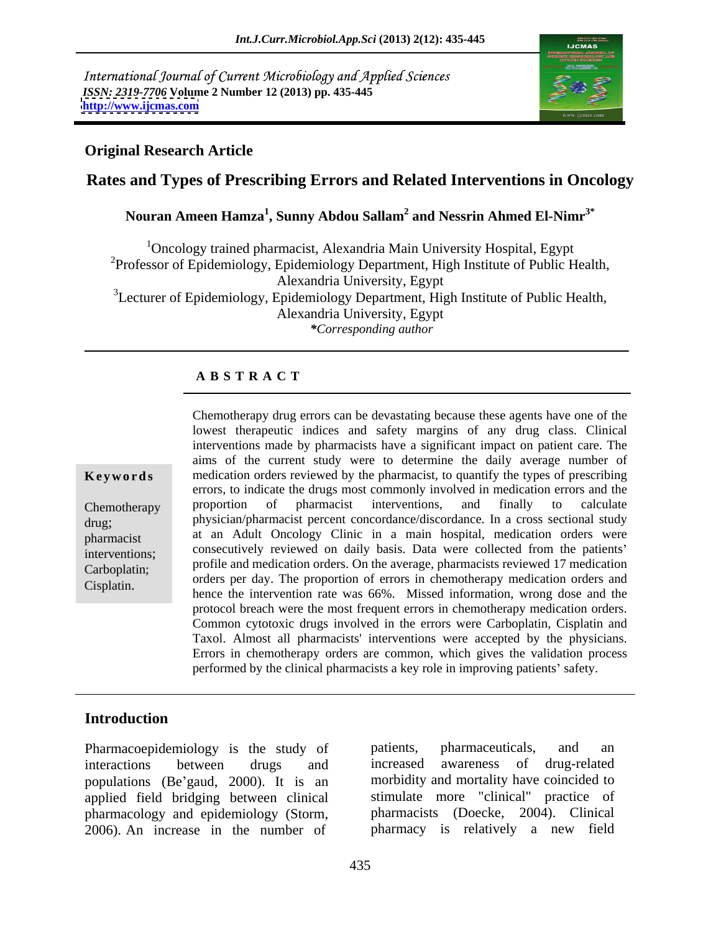International Journal of Current Microbiology and Applied Sciences *ISSN: 2319-7706* **Volume 2 Number 12 (2013) pp. 435-445 <http://www.ijcmas.com>**



### **Original Research Article**

# **Rates and Types of Prescribing Errors and Related Interventions in Oncology**

### **Nouran Ameen Hamza<sup>1</sup> , Sunny Abdou Sallam2 and Nessrin Ahmed El-Nimr3\***

<sup>1</sup>Oncology trained pharmacist, Alexandria Main University Hospital, Egypt  $2P$ Professor of Epidemiology, Epidemiology Department, High Institute of Public Health, Alexandria University, Egypt <sup>3</sup>Lecturer of Epidemiology, Epidemiology Department, High Institute of Public Health, Alexandria University, Egypt *\*Corresponding author* 

#### **A B S T R A C T**

**Keywords** medication orders reviewed by the pharmacist, to quantify the types of prescribing Chemotherapy proportion of pharmacist interventions, and finally to calculate drug; physician/pharmacist percent concordance/discordance. In a cross sectional study pharmacist at an Adult Oncology Clinic in a main hospital, medication orders were interventions; consecutively reviewed on daily basis. Data were collected from the patients' Carboplatin; profile and medication orders. On the average, pharmacists reviewed 17 medication Chemotherapy drug errors can be devastating because these agents have one of the<br>
lowest therapeutic indices and safety margins of any drug class. Clinical<br>
interventions made by pharmacists have a significant impact on pa lowest therapeutic indices and safety margins of any drug class. Clinical interventions made by pharmacists have a significant impact on patient care. The aims of the current study were to determine the daily average number of errors, to indicate the drugs most commonly involved in medication errors and the proportion of pharmacist interventions, and finally to calculate orders per day. The proportion of errors in chemotherapy medication orders and hence the intervention rate was 66%. Missed information, wrong dose and the protocol breach were the most frequent errors in chemotherapy medication orders. Common cytotoxic drugs involved in the errors were Carboplatin, Cisplatin and Taxol. Almost all pharmacists' interventions were accepted by the physicians. Errors in chemotherapy orders are common, which gives the validation process performed by the clinical pharmacists a key role in improving patients' safety.

### **Introduction**

Pharmacoepidemiology is the study of patients, pharmaceuticals, and an interactions between drugs and populations (Be gaud, 2000). It is an applied field bridging between clinical

pharmacology and epidemiology (Storm, 2006). An increase in the number of patients, pharmaceuticals, and an increased awareness of drug-related morbidity and mortality have coincided to stimulate more "clinical" pharmacists (Doecke, 2004). Clinical pharmacy is relatively a new field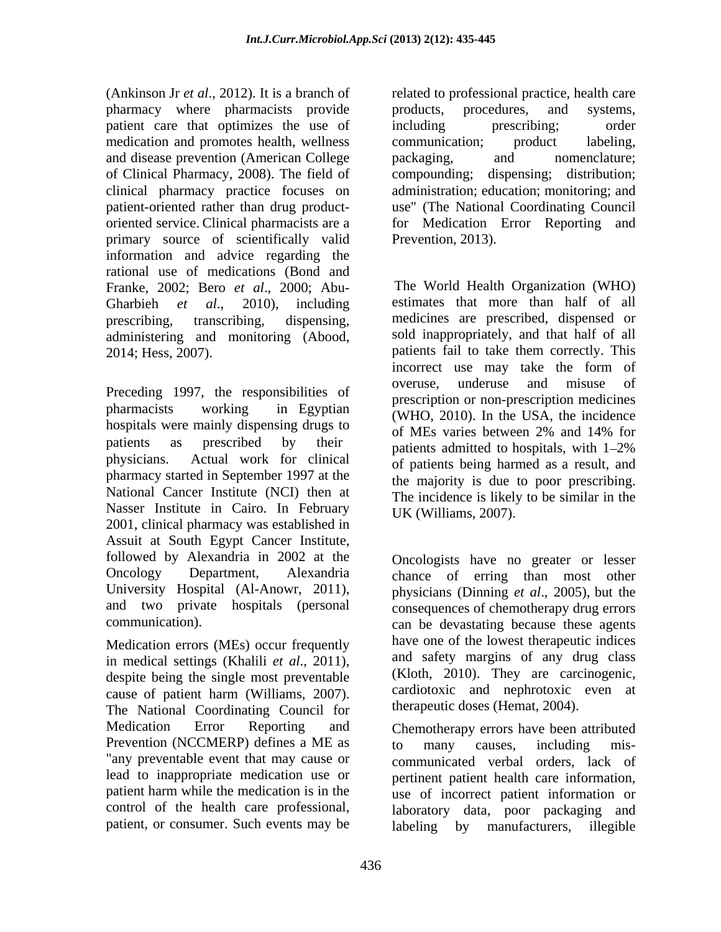(Ankinson Jr *et al*., 2012). It is a branch of related to professional practice, health care pharmacy where pharmacists provide products, procedures, and systems, patient care that optimizes the use of including prescribing; order medication and promotes health, wellness communication; product labeling, and disease prevention (American College of Clinical Pharmacy, 2008). The field of compounding; dispensing; distribution; clinical pharmacy practice focuses on patient-oriented rather than drug product- use" (The National Coordinating Council oriented service. Clinical pharmacists are a for Medication Error Reporting and primary source of scientifically valid information and advice regarding the rational use of medications (Bond and Franke, 2002; Bero *et al*., 2000; Abu- Gharbieh *et al*., 2010), including estimates that more than half of all prescribing, transcribing, dispensing, medicines are prescribed, dispensed or administering and monitoring (Abood, sold inappropriately, and that half of all patients fail to take them correctly. This

pharmacists working in Egyptian (WHO, 2010). In the USA, the incidence hospitals were mainly dispensing drugs to<br>of MEs varies between 2% and 14% for patients as prescribed by their patients admitted to hospitals, with 1–2% physicians. Actual work for clinical of patients being harmed as a result, and pharmacy started in September 1997 at the National Cancer Institute (NCI) then at Nasser Institute in Cairo. In February 2001, clinical pharmacy was established in Assuit at South Egypt Cancer Institute, followed by Alexandria in 2002 at the

Medication errors (MEs) occur frequently cause of patient harm (Williams, 2007). cardiotoxic and nephrotoxic<br>The National Coordinating Council for the theoretic doses (Hemat, 2004). cause of patient harm (Williams, 2007). cardiotoxic and nephrotoxic even at<br>The National Coordinating Council for the the appearing the sea (Hemat, 2004). Medication Error Reporting and Chemotherapy errors have been attributed Prevention (NCCMERP) defines a ME as  $\qquad$  to many causes, including mis-"any preventable event that may cause or

products, procedures, and systems, including prescribing; order communication; product labeling, packaging, and nomenclature; administration; education; monitoring; and Prevention, 2013).

Preceding 1997, the responsibilities of overuse, underuse and misuse of preceding 1997, the responsibilities of The World Health Organization (WHO) sold inappropriately, and that half of all patients fail to take them correctly. This incorrect use may take the form of overuse, underuse and misuse of prescription or non-prescription medicines of MEs varies between 2% and 14% for the majority is due to poor prescribing. The incidence is likely to be similar in the UK (Williams, 2007).

Oncology Department, Alexandria chance of erring than mostother University Hospital (Al-Anowr, 2011), physicians (Dinning *et al*., 2005), but the and two private hospitals (personal consequences of chemotherapy drug errors communication). can be devastating because these agents in medical settings (Khalili *et al.*, 2011), and sarety margins or any drug class despite being the single most preventable (Kloth, 2010). They are carcinogenic, Oncologists have no greater or lesser have one of the lowest therapeutic indices and safety margins of any drug class (Kloth, 2010). They are carcinogenic, cardiotoxic and nephrotoxic even at therapeutic doses (Hemat, 2004). Chemotherapy errors have been attributed

lead to inappropriate medication use or pertinent patient health care information, patient harm while the medication is in the use of incorrect patient information or control of the health care professional, laboratory data, poor packaging and patient, or consumer. Such events may be labeling by manufacturers, illegible to many causes, including mis communicated verbal orders, lack of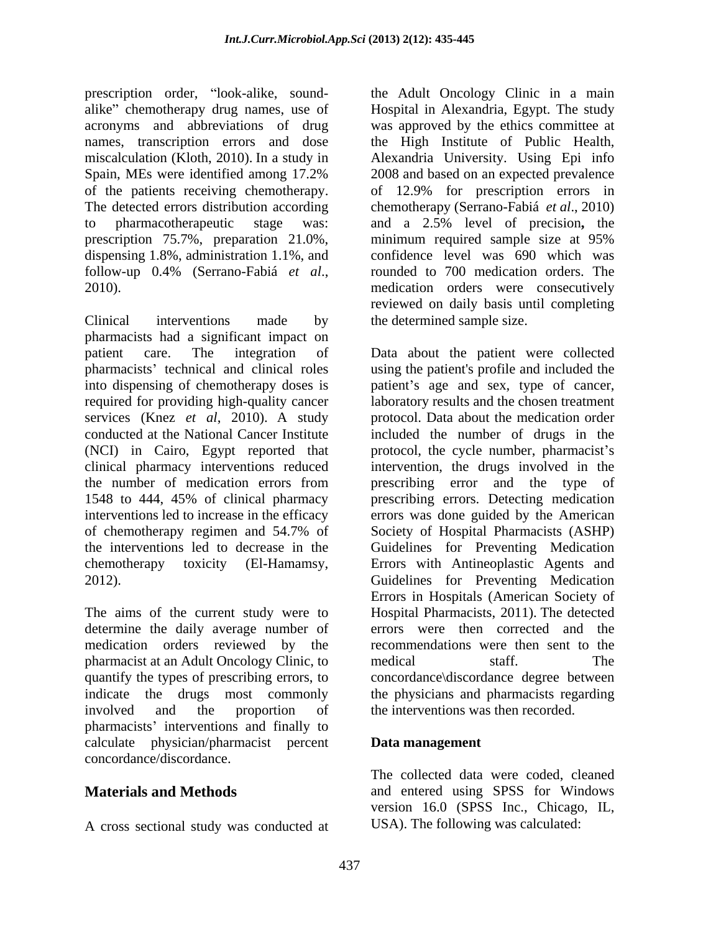prescription order, "look-alike, sound-<br>the Adult Oncology Clinic in a main alike" chemotherapy drug names, use of Hospital in Alexandria, Egypt. The study acronyms and abbreviations of drug was approved by the ethics committee at names, transcription errors and dose the High Institute of Public Health, miscalculation (Kloth, 2010). In a study in Alexandria University. Using Epi info Spain, MEs were identified among 17.2% 2008 and based on an expected prevalence of the patients receiving chemotherapy. of 12.9% for prescription errors in The detected errors distribution according chemotherapy (Serrano-Fabiá *et al*., 2010) to pharmacotherapeutic stage was: and a 2.5% level of precision**,** the prescription 75.7%, preparation 21.0%, minimum required sample size at 95% dispensing 1.8%, administration 1.1%, and

Clinical interventions made by the determined sample size. pharmacists had a significant impact on patient care. The integration of Data about the patient were collected pharmacists' technical and clinical roles using the patient's profile and included the into dispensing of chemotherapy doses is patient's age and sex, type of cancer, required for providing high-quality cancer laboratory results and the chosen treatment services (Knez *et al*, 2010). A study conducted at the National Cancer Institute included the number of drugs in the (NCI) in Cairo, Egypt reported that protocol, the cycle number, pharmacist's clinical pharmacy interventions reduced intervention, the drugs involved in the the number of medication errors from prescribing error and the type of 1548 to 444, 45% of clinical pharmacy prescribing errors. Detecting medication interventions led to increase in the efficacy errors was done guided by the American of chemotherapy regimen and 54.7% of the interventions led to decrease in the Guidelines for Preventing Medication

The aims of the current study were to determine the daily average number of medication orders reviewed by the pharmacist at an Adult Oncology Clinic, to medical staff. The quantify the types of prescribing errors, to indicate the drugs most commonly the physicians and pharmacists regarding involved and the proportion of the interventions was then recorded. pharmacists' interventions and finally to calculate physician/pharmacist percent concordance/discordance.

A cross sectional study was conducted at

follow-up 0.4% (Serrano-Fabiá *et al*., 2010). the High Institute of Public Health, Alexandria University. Using Epi info 2008 and based on an expected prevalence minimum required sample size at 95% confidence level was 690 which was rounded to 700 medication orders. The medication orders were consecutively reviewed on daily basis until completing the determined sample size.

chemotherapy toxicity (El-Hamamsy, 2012). patient's age and sex, type of cancer,<br>laboratory results and the chosen treatment protocol. Data about the medication order prescribing error and the type of Society of Hospital Pharmacists (ASHP) Errors with Antineoplastic Agents and Guidelines for Preventing Medication Errors in Hospitals (American Society of Hospital Pharmacists, 2011). The detected errors were then corrected and the recommendations were then sent to the medical staff. The concordance\discordance degree between

#### **Data management**

**Materials and Methods** and entered using SPSS for Windows The collected data were coded, cleaned version 16.0 (SPSS Inc., Chicago, IL, USA). The following was calculated: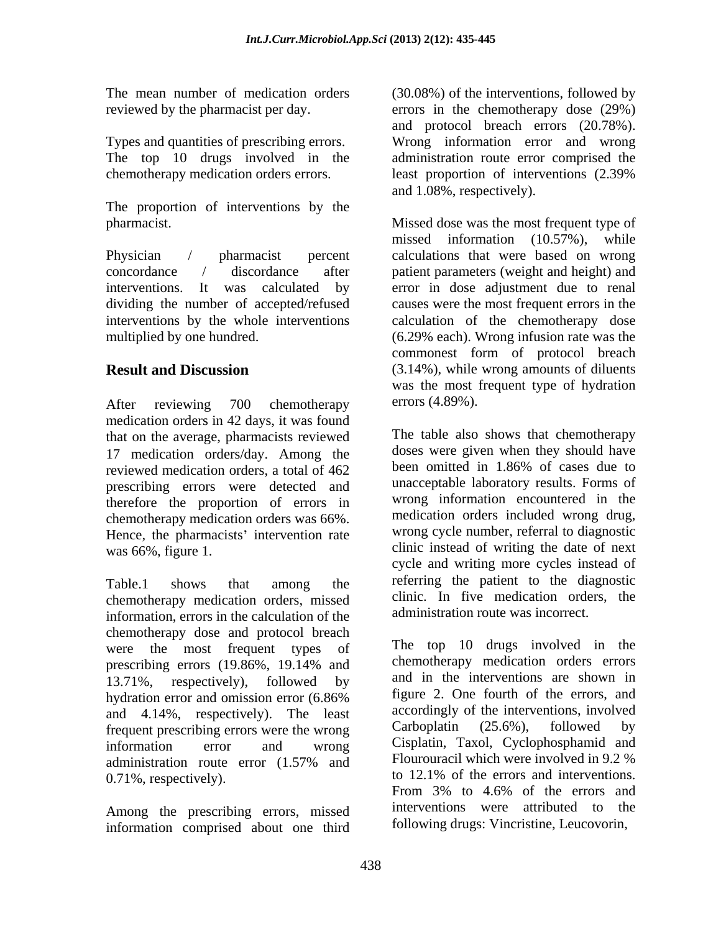Types and quantities of prescribing errors.

The proportion of interventions by the

After reviewing 700 chemotherapy errors (4.89%). medication orders in 42 days, it was found that on the average, pharmacists reviewed 17 medication orders/day. Among the reviewed medication orders, a total of 462 prescribing errors were detected and therefore the proportion of errors in chemotherapy medication orders was 66%. Hence, the pharmacists' intervention rate

chemotherapy medication orders, missed information, errors in the calculation of the chemotherapy dose and protocol breach were the most frequent types of prescribing errors (19.86%, 19.14% and 13.71%, respectively), followed by and 4.14%, respectively). The least accordingly of the interventions, involved<br>frequent prescribing errors were the wrong Carboplatin  $(25.6\%)$ . followed by frequent prescribing errors were the wrong

Among the prescribing errors, missed information comprised about one third

The mean number of medication orders (30.08%) of the interventions, followed by reviewed by the pharmacist per day. errors in the chemotherapy dose (29%) The top 10 drugs involved in the administration route error comprised the chemotherapy medication orders errors. least proportion of interventions (2.39% and protocol breach errors (20.78%). Wrong information error and wrong and 1.08%, respectively).

pharmacist. Missed dose was the most frequent type of Physician / pharmacist percent calculations that were based on wrong concordance / discordance after patient parameters (weight and height) and interventions. It was calculated by error in dose adjustment due to renal dividing the number of accepted/refused causes were the most frequent errors in the interventions by the whole interventions calculation of the chemotherapy dose multiplied by one hundred. (6.29% each). Wrong infusion rate was the **Result and Discussion** (3.14%), while wrong amounts of diluents missed information (10.57%), while commonest form of protocol breach was the most frequent type of hydration errors (4.89%).

was 66%, figure 1. Clinic instead of writing the date of next Table.1 shows that among the referring the patient to the diagnostic The table also shows that chemotherapy doses were given when they should have been omitted in 1.86% of cases due to unacceptable laboratory results. Forms of wrong information encountered in the medication orders included wrong drug, wrong cycle number, referral to diagnostic cycle and writing more cycles instead of clinic. In five medication orders, the administration route was incorrect.

hydration error and omission error  $(6.86\%$  11gure 2. One fourth of the errors, and information error and wrong Cisplatin, Taxol, Cyclophosphamid and administration route error (1.57% and Flourouracil which were involved in 9.2% 0.71%, respectively). to 12.1% of the errors and interventions.<br>From 3% to 4.6% of the errors and The top 10 drugs involved in the chemotherapy medication orders errors and in the interventions are shown in figure 2. One fourth of the errors, and accordingly of the interventions, involved Carboplatin (25.6%), followed by Flourouracil which were involved in 9.2 % to 12.1% of the errors and interventions. From 3% to 4.6% of the errors and interventions were attributed to the following drugs: Vincristine, Leucovorin,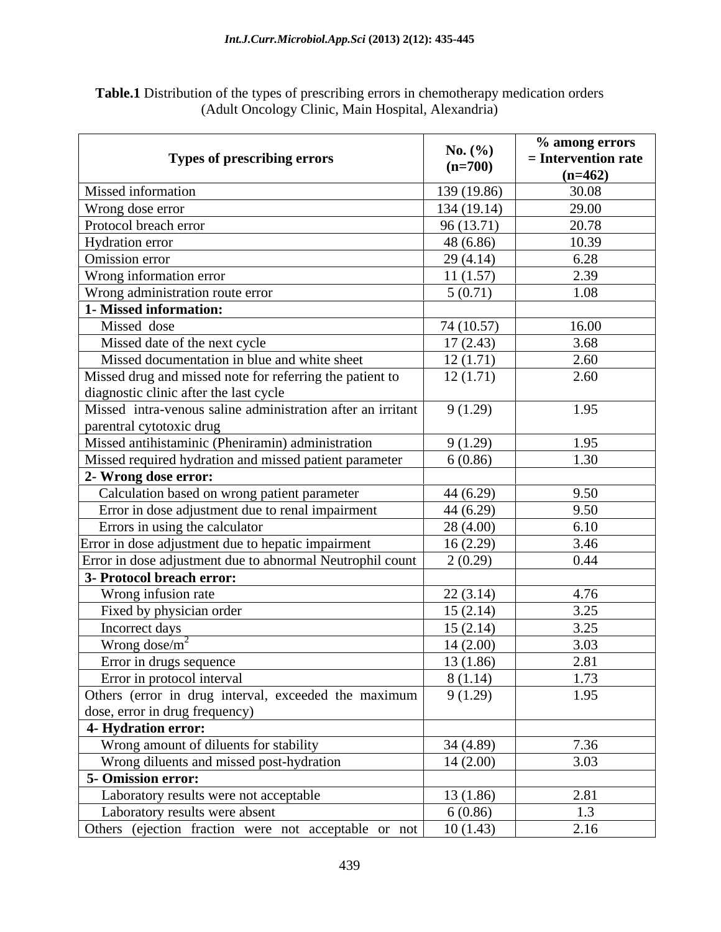| <b>Table.1</b> Distribution of the types of prescribing errors in c<br>In chemotherapy medication orders in |  |
|-------------------------------------------------------------------------------------------------------------|--|
| (Adult Oncology Clinic, Main Hospital, Alexandria)                                                          |  |

| <b>No.</b> $(\%)$                                                                                     |             | % among errors        |
|-------------------------------------------------------------------------------------------------------|-------------|-----------------------|
| <b>Types of prescribing errors</b>                                                                    | $(n=700)$   | $=$ Intervention rate |
| Missed information                                                                                    | 139 (19.86) | $(n=462)$<br>30.08    |
| Wrong dose error                                                                                      | 134(19.14)  | 29.00                 |
| Protocol breach error                                                                                 | 96 (13.71)  | 20.78                 |
| Hydration error                                                                                       | 48 (6.86)   | 10.39                 |
| Omission error                                                                                        | 29(4.14)    | 6.28                  |
| Wrong information error                                                                               | 11(1.57)    | 2.39                  |
| Wrong administration route error                                                                      | 5(0.71)     | 1.08                  |
| 1- Missed information:                                                                                |             |                       |
| Missed dose                                                                                           | 74 (10.57)  | 16.00                 |
| Missed date of the next cycle                                                                         | 17(2.43)    | 3.68                  |
| Missed documentation in blue and white sheet                                                          | 12(1.71)    | 2.60                  |
|                                                                                                       |             | 2.60                  |
| Missed drug and missed note for referring the patient to                                              | 12(1.71)    |                       |
| diagnostic clinic after the last cycle<br>Missed intra-venous saline administration after an irritant | 9(1.29)     | 1.95                  |
| parentral cytotoxic drug                                                                              |             |                       |
| Missed antihistaminic (Pheniramin) administration                                                     | 9(1.29)     | 1.95                  |
|                                                                                                       | 6(0.86)     | 1.30                  |
| Missed required hydration and missed patient parameter                                                |             |                       |
| 2- Wrong dose error:                                                                                  |             |                       |
| Calculation based on wrong patient parameter                                                          | 44 (6.29)   | 9.50                  |
| Error in dose adjustment due to renal impairment                                                      | 44(6.29)    | 9.50                  |
| Errors in using the calculator                                                                        | 28(4.00)    | 6.10                  |
| Error in dose adjustment due to hepatic impairment                                                    | 16(2.29)    | 3.46                  |
| Error in dose adjustment due to abnormal Neutrophil count                                             | 2(0.29)     | 0.44                  |
| 3- Protocol breach error:                                                                             |             |                       |
| Wrong infusion rate                                                                                   | 22(3.14)    | 4.76                  |
| Fixed by physician order                                                                              | 15(2.14)    | 3.25                  |
| Incorrect days                                                                                        | 15(2.14)    | 3.25                  |
| Wrong dose/ $m^2$                                                                                     | 14(2.00)    | 3.03                  |
| Error in drugs sequence                                                                               | 13(1.86)    | 2.81                  |
| Error in protocol interval                                                                            | 8 (1.14)    | 1.73                  |
| Others (error in drug interval, exceeded the maximum                                                  | 9(1.29)     | 1.95                  |
| dose, error in drug frequency)                                                                        |             |                       |
| <b>4- Hydration error:</b>                                                                            |             |                       |
| Wrong amount of diluents for stability                                                                | 34 (4.89)   | 7.36                  |
| Wrong diluents and missed post-hydration                                                              | 14(2.00)    | 3.03                  |
| <b>5- Omission error:</b>                                                                             |             |                       |
| Laboratory results were not acceptable                                                                | 13(1.86)    | 2.81                  |
| Laboratory results were absent                                                                        | 6 (0.86)    | 1.3                   |
| Others (ejection fraction were not acceptable or not                                                  | 10(1.43)    | 2.16                  |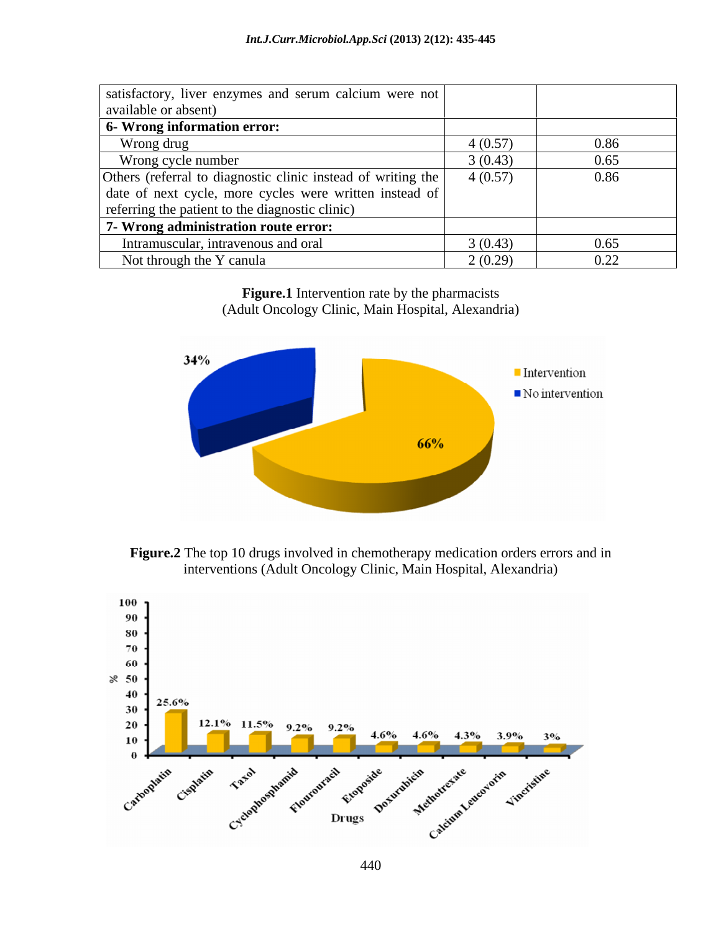| satisfactory, liver enzymes and serum calcium were not<br>available or absent) |         |      |
|--------------------------------------------------------------------------------|---------|------|
| 6- Wrong information error:                                                    |         |      |
| Wrong drug                                                                     | 4(0.57) | 0.86 |
| Wrong cycle number                                                             | 3(0.43) | 0.65 |
| Others (referral to diagnostic clinic instead of writing the                   | 4(0.57) | 0.86 |
| date of next cycle, more cycles were written instead of                        |         |      |
| referring the patient to the diagnostic clinic)                                |         |      |
| 7- Wrong administration route error:                                           |         |      |
| Intramuscular, intravenous and oral                                            | 3(0.43) | 0.65 |
| Not through the Y canula                                                       | 2(0.29) | 0.22 |

**Figure.1** Intervention rate by the pharmacists (Adult Oncology Clinic, Main Hospital, Alexandria)



**Figure.2** The top 10 drugs involved in chemotherapy medication orders errors and in interventions (Adult Oncology Clinic, Main Hospital, Alexandria)

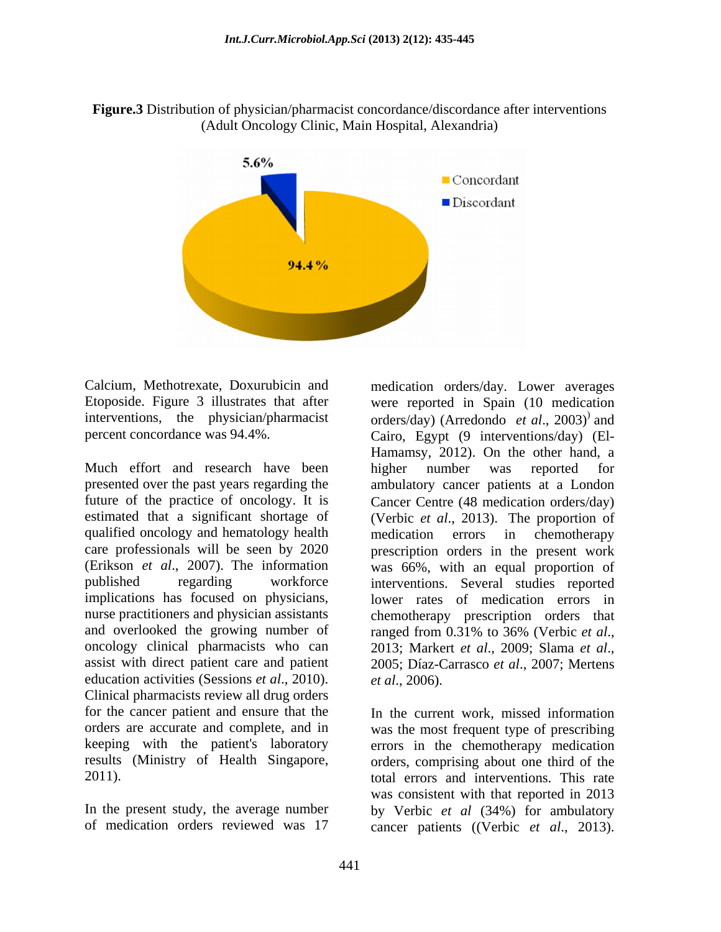**Figure.3** Distribution of physician/pharmacist concordance/discordance after interventions (Adult Oncology Clinic, Main Hospital, Alexandria)



Calcium, Methotrexate, Doxurubicin and medication orders/day. Lower averages Etoposide. Figure 3 illustrates that after

Much effort and research have been bigher number was reported for presented over the past years regarding the ambulatory cancer patients at a London future of the practice of oncology. It is Cancer Centre (48 medication orders/day) estimated that a significant shortage of (Verbic *et al.*, 2013). The proportion of qualified oncology and hematology health medication errors in chemotherany care professionals will be seen by 2020 prescription orders in the present work (Erikson *et al*., 2007). The information was 66%, with an equal proportion of published regarding workforce interventions. Several studies reported implications has focused on physicians, nurse practitioners and physician assistants chemotherapy prescription orders that and overlooked the growing number of ranged from  $0.31\%$  to  $36\%$  (Verbic *et al.*, oncology clinical pharmacists who can <br>2013; Markert et al., 2009; Slama et al., assist with direct patient care and patient 2005; Díaz-Carrasco et al., 2007; Mertens education activities (Sessions *et al*., 2010). Clinical pharmacists review all drug orders for the cancer patient and ensure that the In the current work, missed information orders are accurate and complete, and in was the most frequent type of prescribing keeping with the patient's laboratory errors in the chemotherapy medication results (Ministry of Health Singapore, orders, comprising about one third of the

interventions, the physician/pharmacist orders/day) (Arredondo *et al.*, 2003)<sup>)</sup> and percent concordance was 94.4%. Cairo, Egypt (9 interventions/day) (El were reported in Spain (10 medication ) and Hamamsy, 2012). On the other hand, a higher number was reported for medication errors in chemotherapy lower rates of medication errors in ranged from 0.31% to 36% (Verbic *et al*., 2013; Markert *et al*., 2009; Slama *et al*., 2005; Díaz-Carrasco *et al*., 2007; Mertens

2011). total errors and interventions. This rate In the present study, the average number by Verbic *et al* (34%) for ambulatory of medication orders reviewed was 17 cancer patients ((Verbic *et al*., 2013).*et al*., 2006). In the current work, missed information was consistent with that reported in 2013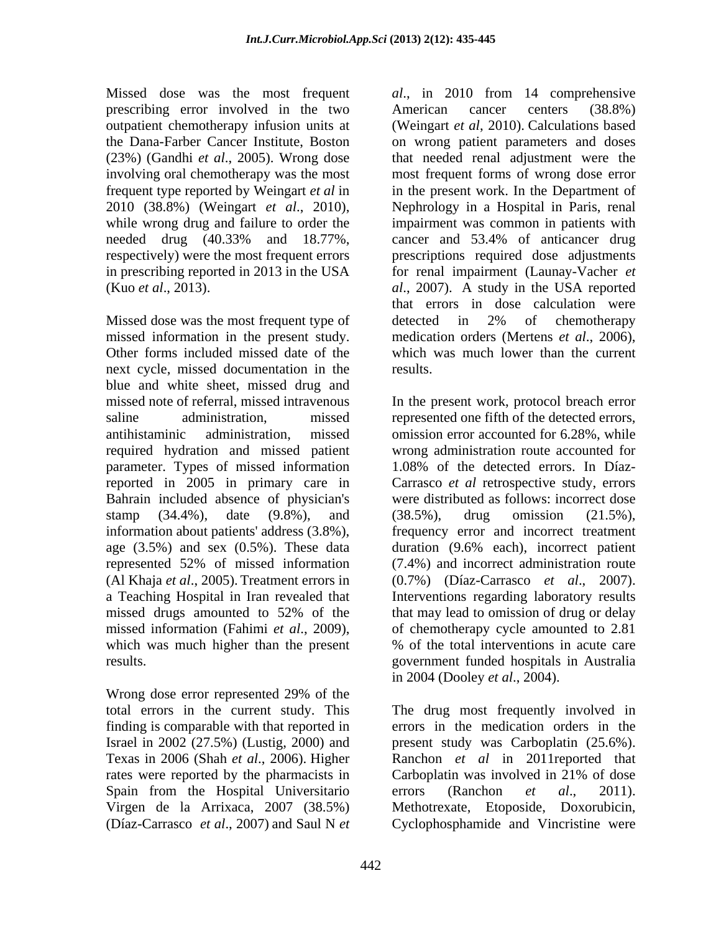prescribing error involved in the two American cancer centers (38.8%) outpatient chemotherapy infusion units at while wrong drug and failure to order the

Missed dose was the most frequent type of detected in 2% of chemotherapy missed information in the present study. medication orders (Mertens *et al.*, 2006), Other forms included missed date of the which was much lower than the current next cycle, missed documentation in the blue and white sheet, missed drug and missed note of referral, missed intravenous In the present work, protocol breach error saline administration, missed represented one fifth of the detected errors, antihistaminic administration, missed omission error accounted for 6.28%, while required hydration and missed patient parameter. Types of missed information 1.08% of the detected errors. In Díaz reported in 2005 in primary care in Bahrain included absence of physician's stamp (34.4%), date (9.8%), and (38.5%), drug omission (21.5%), information about patients' address (3.8%), frequency error and incorrect treatment age (3.5%) and sex (0.5%). These data duration (9.6% each), incorrect patient represented 52% of missed information (7.4%) and incorrect administration route (Al Khaja *et al*., 2005). Treatment errors in (0.7%) (Díaz-Carrasco *et al*., 2007). a Teaching Hospital in Iran revealed that Interventions regarding laboratory results missed drugs amounted to 52% of the that may lead to omission of drug or delay missed information (Fahimi *et al*., 2009), of chemotherapy cycle amounted to 2.81 which was much higher than the present  $\%$  of the total interventions in acute care results. government funded hospitals in Australia

Wrong dose error represented 29% of the total errors in the current study. This finding is comparable with that reported in rates were reported by the pharmacists in Carboplatin was involved in 21% of dose Spain from the Hospital Universitario errors (Ranchon *et al.*, 2011). Virgen de la Arrixaca, 2007 (38.5%) Methotrexate, Etoposide, Doxorubicin, (Díaz-Carrasco *et al*., 2007) and Saul N *et* 

Missed dose was the most frequent *al*., in 2010 from 14 comprehensive the Dana-Farber Cancer Institute, Boston on wrong patient parameters and doses (23%) (Gandhi *et al*., 2005). Wrong dose that needed renal adjustment were the involving oral chemotherapy was the most most frequent forms of wrong dose error frequent type reported by Weingart *et al* in in the present work. In the Department of 2010 (38.8%) (Weingart *et al*., 2010), Nephrology in a Hospital in Paris, renal needed drug (40.33% and 18.77%, cancer and 53.4% of anticancer drug respectively) were the most frequent errors prescriptions required dose adjustments in prescribing reported in 2013 in the USA for renal impairment (Launay-Vacher *et*  (Kuo *et al*., 2013). *al*., 2007). A study in the USA reported American cancer centers (38.8%) (Weingart *et al*, 2010). Calculations based impairment was common in patients with that errors in dose calculation were detected in 2% of chemotherapy medication orders (Mertens *et al.*, 2006),<br>which was much lower than the current results.

> wrong administration route accounted for Carrasco *et al* retrospective study, errors were distributed as follows: incorrect dose (38.5%), drug omission (21.5%), % of the total interventions in acute care

Israel in 2002 (27.5%) (Lustig, 2000) and present study was Carboplatin (25.6%). Texas in 2006 (Shah *et al*., 2006). Higher Ranchon *et al* in 2011reported that in 2004 (Dooley *et al*., 2004). The drug most frequently involved in errors in the medication orders in the Carboplatin was involved in 21% of dose errors (Ranchon *et al*., 2011). Methotrexate, Etoposide, Doxorubicin, Cyclophosphamide and Vincristine were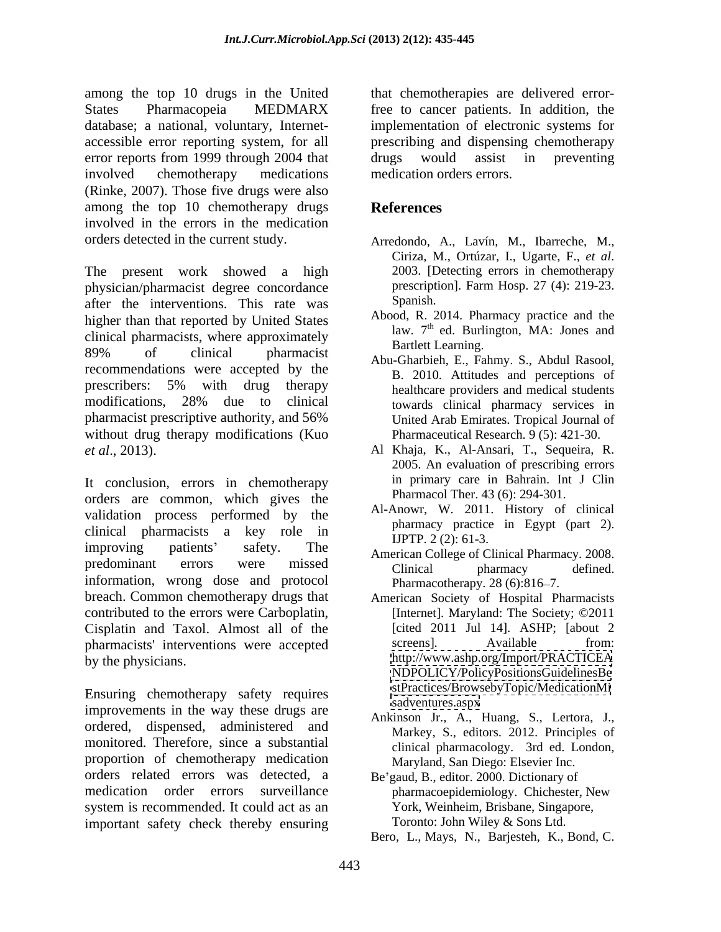among the top 10 drugs in the United States Pharmacopeia MEDMARX free to cancer patients. In addition, the database; a national, voluntary, Internet- implementation of electronic systems for accessible error reporting system, for all prescribing and dispensing chemotherapy error reports from 1999 through 2004 that drugs would assist in preventing involved chemotherapy medications medication orders errors. (Rinke, 2007). Those five drugs were also among the top 10 chemotherapy drugs **References** involved in the errors in the medication orders detected in the current study. Arredondo, A., Lavín, M., Ibarreche, M.,

The present work showed a high 2003. [Detecting errors in chemotherapy physician/pharmacist degree concordance prescription]. Farm Hosp. 27 (4): 219-23. physician/pharmacist degree concordance prescriptions after the interventions. This rate was Spanish. after the interventions. This rate was higher than that reported by United States clinical pharmacists, where approximately  $89\%$  of clinical pharmacist  $\overrightarrow{AB}$  batted Evaluates. recommendations were accepted by the prescribers: 5% with drug therapy bealthcare providers and medical students modifications, 28% due to clinical to towards clinical pharmacy services in pharmacist prescriptive authority, and 56% without drug therapy modifications (Kuo Pharmaceutical Research,  $9(5)$ : 421-30. without drug therapy modifications (Kuo Pharmaceutical Research. 9 (5): 421-30.<br>*et al.*, 2013). Al Khaja, K., Al-Ansari, T., Sequeira, R.

It conclusion, errors in chemotherapy orders are common, which gives the validation process performed by the clinical pharmacists a key role in pharmacistic pharmacists and the system of the system of the system of the system of the system of the system of the system of the system of the system of the system of the system of the eninear pharmacists a key fole in<br>
IIPTP. 2 (2): 61-3.<br>
American College of Clinical Pharmacy. 2008. predominant errors were missed Clinical pharmacy defined information, wrong dose and protocol breach. Common chemotherapy drugs that American Society of Hospital Pharmacists contributed to the errors were Carboplatin, Cisplatin and Taxol. Almost all of the [cited 2011 Jul 14]. ASI<br>
pharmacists' interventions were accepted screens]. Available pharmacists' interventions were accepted screens]. Available from: by the physicians. The physicians of the physicians of the physicians of the physicians of the physicians of the physician state  $h$  http://www.ashp.org/Import/PRACTICEA

Ensuring chemotherapy safety requires surfactures/Brows improvements in the way these drugs are ordered, dispensed, administered and monitored. Therefore, since a substantial proportion of chemotherapy medication orders related errors was detected, a medication order errors surveillance system is recommended. It could act as an important safety check thereby ensuring

that chemotherapies are delivered errordrugs would assist in preventing medication orders errors.

## **References**

- Arredondo, A., Lavín, M., Ibarreche, M., Ciriza, M., Ortúzar, I., Ugarte, F., *et al*. 2003. [Detecting errors in chemotherapy prescription]. Farm Hosp. 27 (4): 219-23. Spanish. **Show that the set of the set of the set of the set of the set of the set of the set of the set of the set of the set of the set of the set of the set of the set of the set of the set of the set of the set of the**
- Abood, R. 2014. Pharmacy practice and the law. 7<sup>th</sup> ed. Burlington, MA: Jones and Bartlett Learning.
- Abu-Gharbieh, E., Fahmy. S., Abdul Rasool, B. 2010. Attitudes and perceptions of healthcare providers and medical students towards clinical pharmacy services in United Arab Emirates. Tropical Journal of
- 2005. An evaluation of prescribing errors in primary care in Bahrain. Int J Clin Pharmacol Ther. 43 (6): 294-301.
- Al-Anowr, W. 2011. History of clinical pharmacy practice in Egypt (part 2).
- Clinical pharmacy defined. Pharmacotherapy. 28 (6):816-7.
- [Internet]. Maryland: The Society; ©2011 [cited 2011 Jul 14]. ASHP; [about 2 screens]. Available from: <http://www.ashp.org/Import/PRACTICEA> <NDPOLICY/PolicyPositionsGuidelinesBe> <stPractices/BrowsebyTopic/MedicationMi> <sadventures.aspx>
- Ankinson Jr., A., Huang, S., Lertora, J., Markey, S., editors. 2012. Principles of clinical pharmacology. 3rd ed. London, Maryland, San Diego: Elsevier Inc.
- Be gaud, B., editor. 2000. Dictionary of pharmacoepidemiology. Chichester, New York, Weinheim, Brisbane, Singapore, Toronto: John Wiley & Sons Ltd.
- Bero, L., Mays, N., Barjesteh, K., Bond, C.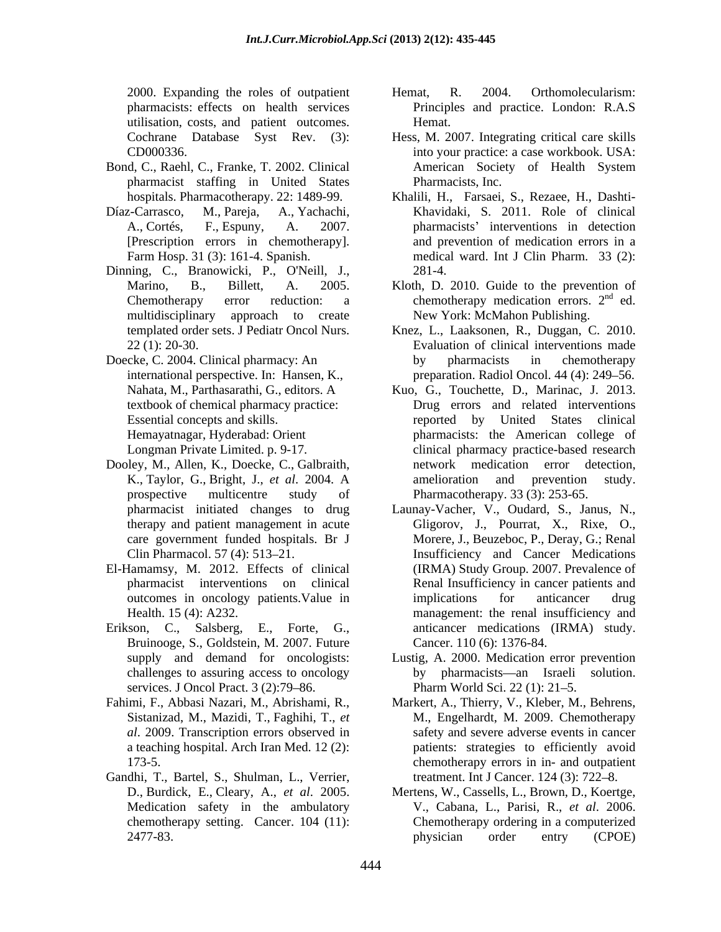2000. Expanding the roles of outpatient Hemat, R. 2004. utilisation, costs, and patient outcomes.

- Bond, C., Raehl, C., Franke, T. 2002. Clinical American Society of Health System pharmacist staffing in United States
- 
- Dinning, C., Branowicki, P., O'Neill, J.,
- textbook of chemical pharmacy practice:
- Dooley, M., Allen, K., Doecke, C., Galbraith,
- El-Hamamsy, M. 2012. Effects of clinical
- Bruinooge, S., Goldstein, M. 2007. Future supply and demand for oncologists: services. J Oncol Pract. 3 (2):79-86.
- 
- Gandhi, T., Bartel, S., Shulman, L., Verrier, chemotherapy setting. Cancer. 104 (11):
- pharmacists: effects on health services Principles and practice. London: R.A.S Orthomolecularism: Hemat. **Hemat**.
- Cochrane Database Syst Rev. (3): Hess, M. 2007. Integrating critical care skills CD000336. into your practice: a case workbook. USA: American Society of Health System Pharmacists, Inc.
- hospitals. Pharmacotherapy. 22: 1489-99. Khalili, H., Farsaei, S., Rezaee, H., Dashti- Díaz-Carrasco, M., Pareja, A., Yachachi, Khavidaki, S. 2011. Role of clinical A., Cortés, F., Espuny, A. 2007. pharmacists interventions in detection [Prescription errors in chemotherapy]. and prevention of medication errors in a Farm Hosp. 31 (3): 161-4. Spanish. medical ward. Int J Clin Pharm. 33 (2): 281-4.
	- Marino, B., Billett, A. 2005. Kloth, D. 2010. Guide to the prevention of Chemotherapy error reduction: a chemotherapy medication errors.  $2<sup>nd</sup>$  ed. multidisciplinary approach to create New York: McMahon Publishing. nd ed.
- templated order sets. J Pediatr Oncol Nurs. Knez, L., Laaksonen, R., Duggan, C. 2010. 22 (1): 20-30. Evaluation of clinical interventions made Doecke, C. 2004. Clinical pharmacy: An by pharmacists in chemotherapy international perspective. In: Hansen, K., preparation. Radiol Oncol. 44 (4): 249 56. by pharmacists in chemotherapy
	- Nahata, M., Parthasarathi, G., editors. A Kuo, G., Touchette, D., Marinac, J. 2013. Essential concepts and skills. The reported by United States clinical Hemayatnagar, Hyderabad: Orient pharmacists: the American college of Longman Private Limited. p. 9-17. clinical pharmacy practice-based research K., Taylor, G., Bright, J., *et al*. 2004. A prospective multicentre study of Pharmacotherapy. 33 (3): 253-65. Drug errors and related interventions network medication error detection, amelioration and prevention study.
- pharmacist initiated changes to drug Launay-Vacher, V., Oudard, S., Janus, N., therapy and patient management in acute Gligorov, J., Pourrat, X., Rixe, O., care government funded hospitals. Br J Morere, J., Beuzeboc, P., Deray, G.; Renal Clin Pharmacol. 57 (4): 513–21. Insufficiency and Cancer Medications pharmacist interventions on clinical Renal Insufficiency in cancer patients and outcomes in oncology patients.Value in Health. 15 (4): A232. management: the renal insufficiency and Erikson, C., Salsberg, E., Forte, G., anticancer medications (IRMA) study. (IRMA) Study Group. 2007. Prevalence of implications for anticancer drug Cancer. 110 (6): 1376-84.
	- challenges to assuring access to oncology by pharmacists—an Israeli solution. Lustig, A. 2000. Medication error prevention Pharm World Sci. 22 (1): 21–5.
- Fahimi, F., Abbasi Nazari, M., Abrishami, R., Markert, A., Thierry, V., Kleber, M., Behrens, Sistanizad, M., Mazidi, T., Faghihi, T., *et*  M., Engelhardt, M. 2009. Chemotherapy *al*. 2009. Transcription errors observed in safety and severe adverse events in cancer a teaching hospital. Arch Iran Med. 12 (2): patients: strategies to efficiently avoid 173-5. chemotherapy errors in in- and outpatient treatment. Int J Cancer. 124 (3): 722–8.
	- D., Burdick, E., Cleary, A., *et al*. 2005. Mertens, W., Cassells, L., Brown, D., Koertge, Medication safety in the ambulatory V., Cabana, L., Parisi, R., *et al*. 2006. 2477-83. (CPOE) physician order entry (CPOE) Chemotherapy ordering in a computerized physician order entry (CPOE)